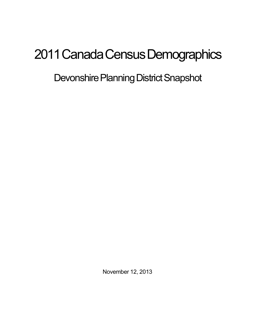## 2011 Canada Census Demographics

Devonshire Planning District Snapshot

November 12, 2013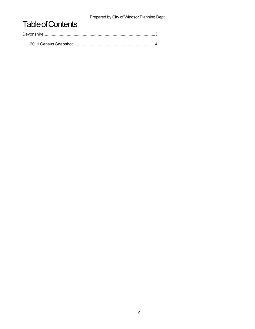Prepared by City of Windsor Planning Dept

## **Table of Contents**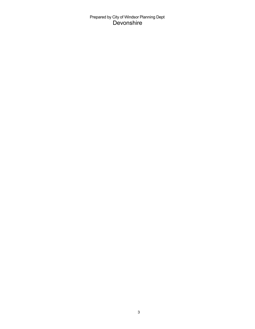Prepared by City of Windsor Planning Dept Devonshire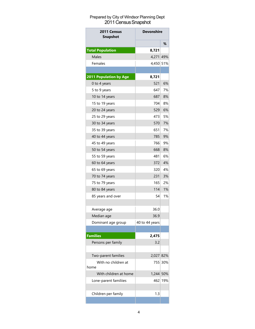## Prepared by City of Windsor Planning Dept 2011 Census Snapshot

| 2011 Census<br><b>Snapshot</b> | <b>Devonshire</b> |         |
|--------------------------------|-------------------|---------|
|                                |                   | %       |
| <b>Total Population</b>        | 8,721             |         |
| <b>Males</b>                   | 4,271             | 49%     |
| Females                        | 4,450 51%         |         |
|                                |                   |         |
| 2011 Population by Age         | 8,721             |         |
| 0 to 4 years                   | 521               | 6%      |
| 5 to 9 years                   | 647               | 7%      |
| 10 to 14 years                 | 687               | 8%      |
| 15 to 19 years                 | 704               | 8%      |
| 20 to 24 years                 | 529               | 6%      |
| 25 to 29 years                 | 473               | 5%      |
| 30 to 34 years                 | 570               | 7%      |
| 35 to 39 years                 | 651               | 7%      |
| 40 to 44 years                 | 785               | 9%      |
| 45 to 49 years                 | 766               | 9%      |
| 50 to 54 years                 | 668               | 8%      |
| 55 to 59 years                 | 481               | 6%      |
| 60 to 64 years                 | 372               | 4%      |
| 65 to 69 years                 | 320               | 4%      |
| 70 to 74 years                 | 231               | 3%      |
| 75 to 79 years                 | 165               | 2%      |
| 80 to 84 years                 | 114               | 1%      |
| 85 years and over              | 54                | 1%      |
|                                |                   |         |
| Average age                    | 36.0              |         |
| Median age                     | 36.9              |         |
| Dominant age group             | 40 to 44 years    |         |
|                                |                   |         |
| <b>Families</b>                | 2,475             |         |
| Persons per family             | 3.2               |         |
|                                |                   |         |
| Two-parent families            | 2,027 82%         |         |
| With no children at            |                   | 755 30% |
| home                           |                   |         |
| With children at home          | 1,244 50%         |         |
| Lone-parent familiies          | 4621              | 19%     |
|                                |                   |         |
| Children per family            | 1.3               |         |
|                                |                   |         |